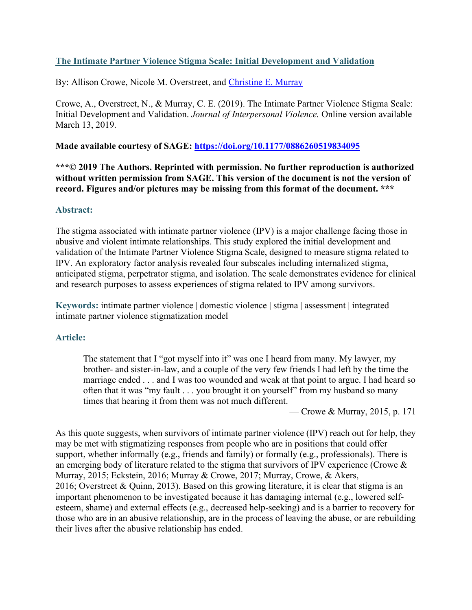# **The Intimate Partner Violence Stigma Scale: Initial Development and Validation**

By: Allison Crowe, Nicole M. Overstreet, and [Christine E. Murray](https://libres.uncg.edu/ir/uncg/clist.aspx?id=894)

Crowe, A., Overstreet, N., & Murray, C. E. (2019). The Intimate Partner Violence Stigma Scale: Initial Development and Validation. *Journal of Interpersonal Violence.* Online version available March 13, 2019.

# **Made available courtesy of SAGE:<https://doi.org/10.1177/0886260519834095>**

**\*\*\*© 2019 The Authors. Reprinted with permission. No further reproduction is authorized without written permission from SAGE. This version of the document is not the version of record. Figures and/or pictures may be missing from this format of the document. \*\*\***

# **Abstract:**

The stigma associated with intimate partner violence (IPV) is a major challenge facing those in abusive and violent intimate relationships. This study explored the initial development and validation of the Intimate Partner Violence Stigma Scale, designed to measure stigma related to IPV. An exploratory factor analysis revealed four subscales including internalized stigma, anticipated stigma, perpetrator stigma, and isolation. The scale demonstrates evidence for clinical and research purposes to assess experiences of stigma related to IPV among survivors.

**Keywords:** intimate partner violence | domestic violence | stigma | assessment | integrated intimate partner violence stigmatization model

# **Article:**

The statement that I "got myself into it" was one I heard from many. My lawyer, my brother- and sister-in-law, and a couple of the very few friends I had left by the time the marriage ended . . . and I was too wounded and weak at that point to argue. I had heard so often that it was "my fault . . . you brought it on yourself" from my husband so many times that hearing it from them was not much different.

— Crowe & Murray, 2015, p. 171

As this quote suggests, when survivors of intimate partner violence (IPV) reach out for help, they may be met with stigmatizing responses from people who are in positions that could offer support, whether informally (e.g., friends and family) or formally (e.g., professionals). There is an emerging body of literature related to the stigma that survivors of IPV experience (Crowe & Murray, 2015; Eckstein, 2016; Murray & Crowe, 2017; Murray, Crowe, & Akers, 2016; Overstreet & Quinn, 2013). Based on this growing literature, it is clear that stigma is an important phenomenon to be investigated because it has damaging internal (e.g., lowered selfesteem, shame) and external effects (e.g., decreased help-seeking) and is a barrier to recovery for those who are in an abusive relationship, are in the process of leaving the abuse, or are rebuilding their lives after the abusive relationship has ended.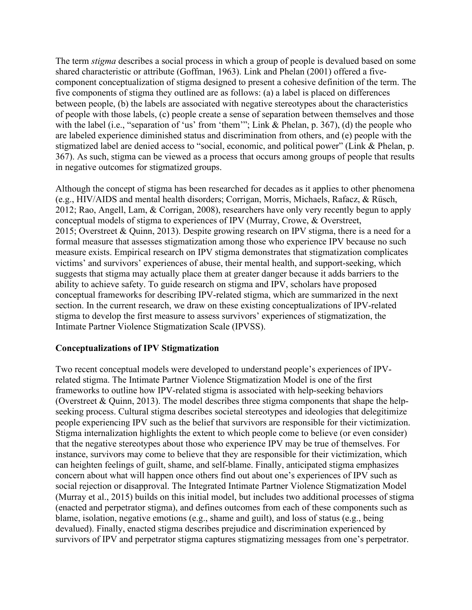The term *stigma* describes a social process in which a group of people is devalued based on some shared characteristic or attribute (Goffman, 1963). Link and Phelan (2001) offered a fivecomponent conceptualization of stigma designed to present a cohesive definition of the term. The five components of stigma they outlined are as follows: (a) a label is placed on differences between people, (b) the labels are associated with negative stereotypes about the characteristics of people with those labels, (c) people create a sense of separation between themselves and those with the label (i.e., "separation of 'us' from 'them'"; Link & Phelan, p. 367), (d) the people who are labeled experience diminished status and discrimination from others, and (e) people with the stigmatized label are denied access to "social, economic, and political power" (Link & Phelan, p. 367). As such, stigma can be viewed as a process that occurs among groups of people that results in negative outcomes for stigmatized groups.

Although the concept of stigma has been researched for decades as it applies to other phenomena (e.g., HIV/AIDS and mental health disorders; Corrigan, Morris, Michaels, Rafacz, & Rüsch, 2012; Rao, Angell, Lam, & Corrigan, 2008), researchers have only very recently begun to apply conceptual models of stigma to experiences of IPV (Murray, Crowe, & Overstreet, 2015; Overstreet & Quinn, 2013). Despite growing research on IPV stigma, there is a need for a formal measure that assesses stigmatization among those who experience IPV because no such measure exists. Empirical research on IPV stigma demonstrates that stigmatization complicates victims' and survivors' experiences of abuse, their mental health, and support-seeking, which suggests that stigma may actually place them at greater danger because it adds barriers to the ability to achieve safety. To guide research on stigma and IPV, scholars have proposed conceptual frameworks for describing IPV-related stigma, which are summarized in the next section. In the current research, we draw on these existing conceptualizations of IPV-related stigma to develop the first measure to assess survivors' experiences of stigmatization, the Intimate Partner Violence Stigmatization Scale (IPVSS).

### **Conceptualizations of IPV Stigmatization**

Two recent conceptual models were developed to understand people's experiences of IPVrelated stigma. The Intimate Partner Violence Stigmatization Model is one of the first frameworks to outline how IPV-related stigma is associated with help-seeking behaviors (Overstreet & Quinn, 2013). The model describes three stigma components that shape the helpseeking process. Cultural stigma describes societal stereotypes and ideologies that delegitimize people experiencing IPV such as the belief that survivors are responsible for their victimization. Stigma internalization highlights the extent to which people come to believe (or even consider) that the negative stereotypes about those who experience IPV may be true of themselves. For instance, survivors may come to believe that they are responsible for their victimization, which can heighten feelings of guilt, shame, and self-blame. Finally, anticipated stigma emphasizes concern about what will happen once others find out about one's experiences of IPV such as social rejection or disapproval. The Integrated Intimate Partner Violence Stigmatization Model (Murray et al., 2015) builds on this initial model, but includes two additional processes of stigma (enacted and perpetrator stigma), and defines outcomes from each of these components such as blame, isolation, negative emotions (e.g., shame and guilt), and loss of status (e.g., being devalued). Finally, enacted stigma describes prejudice and discrimination experienced by survivors of IPV and perpetrator stigma captures stigmatizing messages from one's perpetrator.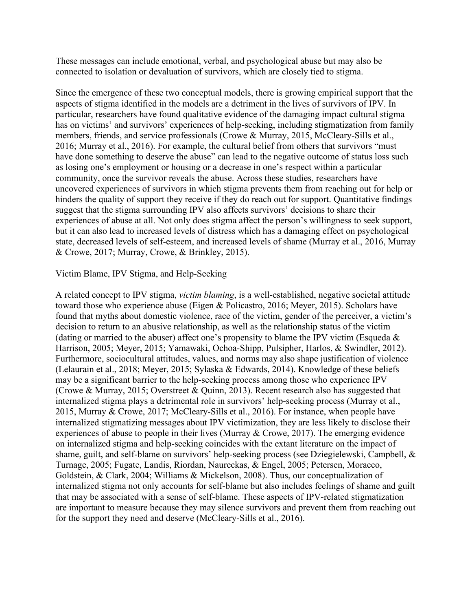These messages can include emotional, verbal, and psychological abuse but may also be connected to isolation or devaluation of survivors, which are closely tied to stigma.

Since the emergence of these two conceptual models, there is growing empirical support that the aspects of stigma identified in the models are a detriment in the lives of survivors of IPV. In particular, researchers have found qualitative evidence of the damaging impact cultural stigma has on victims' and survivors' experiences of help-seeking, including stigmatization from family members, friends, and service professionals (Crowe & Murray, 2015, McCleary-Sills et al., 2016; Murray et al., 2016). For example, the cultural belief from others that survivors "must have done something to deserve the abuse" can lead to the negative outcome of status loss such as losing one's employment or housing or a decrease in one's respect within a particular community, once the survivor reveals the abuse. Across these studies, researchers have uncovered experiences of survivors in which stigma prevents them from reaching out for help or hinders the quality of support they receive if they do reach out for support. Quantitative findings suggest that the stigma surrounding IPV also affects survivors' decisions to share their experiences of abuse at all. Not only does stigma affect the person's willingness to seek support, but it can also lead to increased levels of distress which has a damaging effect on psychological state, decreased levels of self-esteem, and increased levels of shame (Murray et al., 2016, Murray & Crowe, 2017; Murray, Crowe, & Brinkley, 2015).

#### Victim Blame, IPV Stigma, and Help-Seeking

A related concept to IPV stigma, *victim blaming*, is a well-established, negative societal attitude toward those who experience abuse (Eigen & Policastro, 2016; Meyer, 2015). Scholars have found that myths about domestic violence, race of the victim, gender of the perceiver, a victim's decision to return to an abusive relationship, as well as the relationship status of the victim (dating or married to the abuser) affect one's propensity to blame the IPV victim (Esqueda  $\&$ Harrison, 2005; Meyer, 2015; Yamawaki, Ochoa-Shipp, Pulsipher, Harlos, & Swindler, 2012). Furthermore, sociocultural attitudes, values, and norms may also shape justification of violence (Lelaurain et al., 2018; Meyer, 2015; Sylaska & Edwards, 2014). Knowledge of these beliefs may be a significant barrier to the help-seeking process among those who experience IPV (Crowe & Murray, 2015; Overstreet & Quinn, 2013). Recent research also has suggested that internalized stigma plays a detrimental role in survivors' help-seeking process (Murray et al., 2015, Murray & Crowe, 2017; McCleary-Sills et al., 2016). For instance, when people have internalized stigmatizing messages about IPV victimization, they are less likely to disclose their experiences of abuse to people in their lives (Murray & Crowe, 2017). The emerging evidence on internalized stigma and help-seeking coincides with the extant literature on the impact of shame, guilt, and self-blame on survivors' help-seeking process (see Dziegielewski, Campbell, & Turnage, 2005; Fugate, Landis, Riordan, Naureckas, & Engel, 2005; Petersen, Moracco, Goldstein, & Clark, 2004; Williams & Mickelson, 2008). Thus, our conceptualization of internalized stigma not only accounts for self-blame but also includes feelings of shame and guilt that may be associated with a sense of self-blame. These aspects of IPV-related stigmatization are important to measure because they may silence survivors and prevent them from reaching out for the support they need and deserve (McCleary-Sills et al., 2016).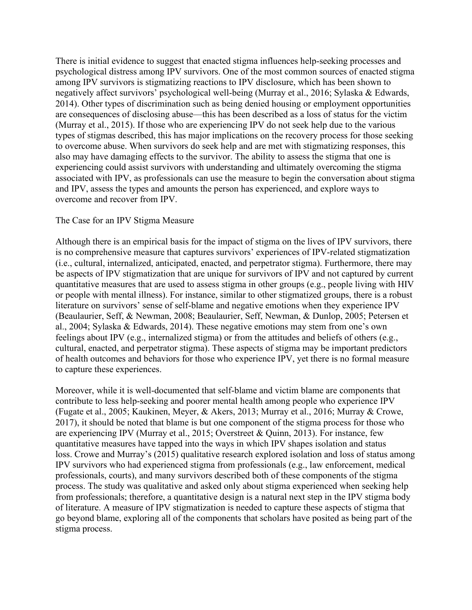There is initial evidence to suggest that enacted stigma influences help-seeking processes and psychological distress among IPV survivors. One of the most common sources of enacted stigma among IPV survivors is stigmatizing reactions to IPV disclosure, which has been shown to negatively affect survivors' psychological well-being (Murray et al., 2016; Sylaska & Edwards, 2014). Other types of discrimination such as being denied housing or employment opportunities are consequences of disclosing abuse—this has been described as a loss of status for the victim (Murray et al., 2015). If those who are experiencing IPV do not seek help due to the various types of stigmas described, this has major implications on the recovery process for those seeking to overcome abuse. When survivors do seek help and are met with stigmatizing responses, this also may have damaging effects to the survivor. The ability to assess the stigma that one is experiencing could assist survivors with understanding and ultimately overcoming the stigma associated with IPV, as professionals can use the measure to begin the conversation about stigma and IPV, assess the types and amounts the person has experienced, and explore ways to overcome and recover from IPV.

#### The Case for an IPV Stigma Measure

Although there is an empirical basis for the impact of stigma on the lives of IPV survivors, there is no comprehensive measure that captures survivors' experiences of IPV-related stigmatization (i.e., cultural, internalized, anticipated, enacted, and perpetrator stigma). Furthermore, there may be aspects of IPV stigmatization that are unique for survivors of IPV and not captured by current quantitative measures that are used to assess stigma in other groups (e.g., people living with HIV or people with mental illness). For instance, similar to other stigmatized groups, there is a robust literature on survivors' sense of self-blame and negative emotions when they experience IPV (Beaulaurier, Seff, & Newman, 2008; Beaulaurier, Seff, Newman, & Dunlop, 2005; Petersen et al., 2004; Sylaska & Edwards, 2014). These negative emotions may stem from one's own feelings about IPV (e.g., internalized stigma) or from the attitudes and beliefs of others (e.g., cultural, enacted, and perpetrator stigma). These aspects of stigma may be important predictors of health outcomes and behaviors for those who experience IPV, yet there is no formal measure to capture these experiences.

Moreover, while it is well-documented that self-blame and victim blame are components that contribute to less help-seeking and poorer mental health among people who experience IPV (Fugate et al., 2005; Kaukinen, Meyer, & Akers, 2013; Murray et al., 2016; Murray & Crowe, 2017), it should be noted that blame is but one component of the stigma process for those who are experiencing IPV (Murray et al., 2015; Overstreet & Quinn, 2013). For instance, few quantitative measures have tapped into the ways in which IPV shapes isolation and status loss. Crowe and Murray's (2015) qualitative research explored isolation and loss of status among IPV survivors who had experienced stigma from professionals (e.g., law enforcement, medical professionals, courts), and many survivors described both of these components of the stigma process. The study was qualitative and asked only about stigma experienced when seeking help from professionals; therefore, a quantitative design is a natural next step in the IPV stigma body of literature. A measure of IPV stigmatization is needed to capture these aspects of stigma that go beyond blame, exploring all of the components that scholars have posited as being part of the stigma process.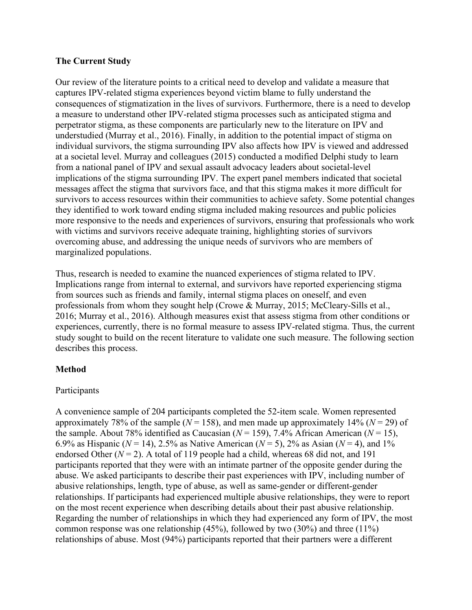### **The Current Study**

Our review of the literature points to a critical need to develop and validate a measure that captures IPV-related stigma experiences beyond victim blame to fully understand the consequences of stigmatization in the lives of survivors. Furthermore, there is a need to develop a measure to understand other IPV-related stigma processes such as anticipated stigma and perpetrator stigma, as these components are particularly new to the literature on IPV and understudied (Murray et al., 2016). Finally, in addition to the potential impact of stigma on individual survivors, the stigma surrounding IPV also affects how IPV is viewed and addressed at a societal level. Murray and colleagues (2015) conducted a modified Delphi study to learn from a national panel of IPV and sexual assault advocacy leaders about societal-level implications of the stigma surrounding IPV. The expert panel members indicated that societal messages affect the stigma that survivors face, and that this stigma makes it more difficult for survivors to access resources within their communities to achieve safety. Some potential changes they identified to work toward ending stigma included making resources and public policies more responsive to the needs and experiences of survivors, ensuring that professionals who work with victims and survivors receive adequate training, highlighting stories of survivors overcoming abuse, and addressing the unique needs of survivors who are members of marginalized populations.

Thus, research is needed to examine the nuanced experiences of stigma related to IPV. Implications range from internal to external, and survivors have reported experiencing stigma from sources such as friends and family, internal stigma places on oneself, and even professionals from whom they sought help (Crowe & Murray, 2015; McCleary-Sills et al., 2016; Murray et al., 2016). Although measures exist that assess stigma from other conditions or experiences, currently, there is no formal measure to assess IPV-related stigma. Thus, the current study sought to build on the recent literature to validate one such measure. The following section describes this process.

# **Method**

### Participants

A convenience sample of 204 participants completed the 52-item scale. Women represented approximately 78% of the sample ( $N = 158$ ), and men made up approximately 14% ( $N = 29$ ) of the sample. About 78% identified as Caucasian  $(N = 159)$ , 7.4% African American  $(N = 15)$ , 6.9% as Hispanic ( $N = 14$ ), 2.5% as Native American ( $N = 5$ ), 2% as Asian ( $N = 4$ ), and 1% endorsed Other  $(N = 2)$ . A total of 119 people had a child, whereas 68 did not, and 191 participants reported that they were with an intimate partner of the opposite gender during the abuse. We asked participants to describe their past experiences with IPV, including number of abusive relationships, length, type of abuse, as well as same-gender or different-gender relationships. If participants had experienced multiple abusive relationships, they were to report on the most recent experience when describing details about their past abusive relationship. Regarding the number of relationships in which they had experienced any form of IPV, the most common response was one relationship (45%), followed by two (30%) and three (11%) relationships of abuse. Most (94%) participants reported that their partners were a different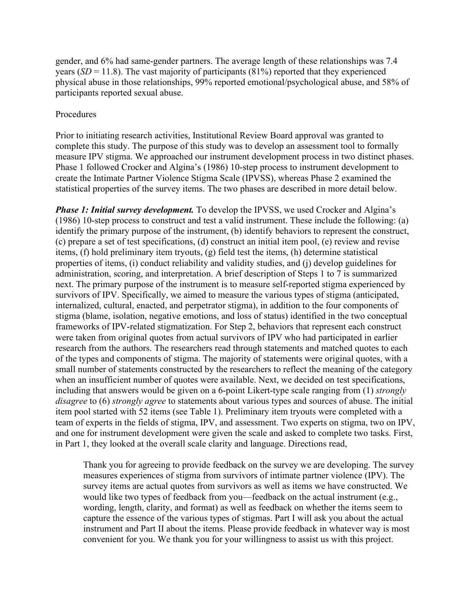gender, and 6% had same-gender partners. The average length of these relationships was 7.4 years  $(SD = 11.8)$ . The vast majority of participants  $(81\%)$  reported that they experienced physical abuse in those relationships, 99% reported emotional/psychological abuse, and 58% of participants reported sexual abuse.

### Procedures

Prior to initiating research activities, Institutional Review Board approval was granted to complete this study. The purpose of this study was to develop an assessment tool to formally measure IPV stigma. We approached our instrument development process in two distinct phases. Phase 1 followed Crocker and Algina's (1986) 10-step process to instrument development to create the Intimate Partner Violence Stigma Scale (IPVSS), whereas Phase 2 examined the statistical properties of the survey items. The two phases are described in more detail below.

*Phase 1: Initial survey development*. To develop the IPVSS, we used Crocker and Algina's (1986) 10-step process to construct and test a valid instrument. These include the following: (a) identify the primary purpose of the instrument, (b) identify behaviors to represent the construct, (c) prepare a set of test specifications, (d) construct an initial item pool, (e) review and revise items, (f) hold preliminary item tryouts, (g) field test the items, (h) determine statistical properties of items, (i) conduct reliability and validity studies, and (j) develop guidelines for administration, scoring, and interpretation. A brief description of Steps 1 to 7 is summarized next. The primary purpose of the instrument is to measure self-reported stigma experienced by survivors of IPV. Specifically, we aimed to measure the various types of stigma (anticipated, internalized, cultural, enacted, and perpetrator stigma), in addition to the four components of stigma (blame, isolation, negative emotions, and loss of status) identified in the two conceptual frameworks of IPV-related stigmatization. For Step 2, behaviors that represent each construct were taken from original quotes from actual survivors of IPV who had participated in earlier research from the authors. The researchers read through statements and matched quotes to each of the types and components of stigma. The majority of statements were original quotes, with a small number of statements constructed by the researchers to reflect the meaning of the category when an insufficient number of quotes were available. Next, we decided on test specifications, including that answers would be given on a 6-point Likert-type scale ranging from (1) *strongly disagree* to (6) *strongly agree* to statements about various types and sources of abuse. The initial item pool started with 52 items (see Table 1). Preliminary item tryouts were completed with a team of experts in the fields of stigma, IPV, and assessment. Two experts on stigma, two on IPV, and one for instrument development were given the scale and asked to complete two tasks. First, in Part 1, they looked at the overall scale clarity and language. Directions read,

Thank you for agreeing to provide feedback on the survey we are developing. The survey measures experiences of stigma from survivors of intimate partner violence (IPV). The survey items are actual quotes from survivors as well as items we have constructed. We would like two types of feedback from you—feedback on the actual instrument (e.g., wording, length, clarity, and format) as well as feedback on whether the items seem to capture the essence of the various types of stigmas. Part I will ask you about the actual instrument and Part II about the items. Please provide feedback in whatever way is most convenient for you. We thank you for your willingness to assist us with this project.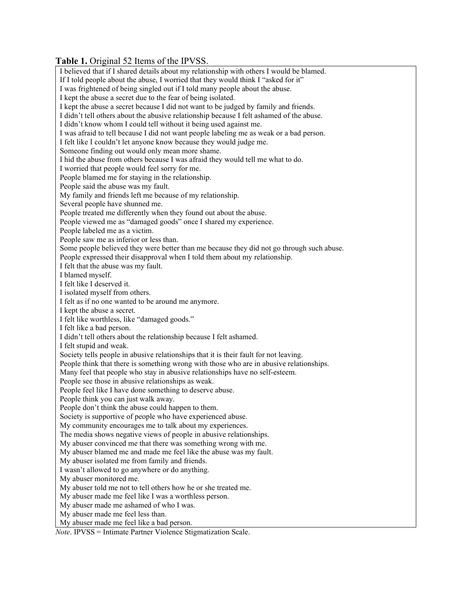#### **Table 1.** Original 52 Items of the IPVSS.

I believed that if I shared details about my relationship with others I would be blamed. If I told people about the abuse, I worried that they would think I "asked for it" I was frightened of being singled out if I told many people about the abuse. I kept the abuse a secret due to the fear of being isolated. I kept the abuse a secret because I did not want to be judged by family and friends. I didn't tell others about the abusive relationship because I felt ashamed of the abuse. I didn't know whom I could tell without it being used against me. I was afraid to tell because I did not want people labeling me as weak or a bad person. I felt like I couldn't let anyone know because they would judge me. Someone finding out would only mean more shame. I hid the abuse from others because I was afraid they would tell me what to do. I worried that people would feel sorry for me. People blamed me for staying in the relationship. People said the abuse was my fault. My family and friends left me because of my relationship. Several people have shunned me. People treated me differently when they found out about the abuse. People viewed me as "damaged goods" once I shared my experience. People labeled me as a victim. People saw me as inferior or less than. Some people believed they were better than me because they did not go through such abuse. People expressed their disapproval when I told them about my relationship. I felt that the abuse was my fault. I blamed myself. I felt like I deserved it. I isolated myself from others. I felt as if no one wanted to be around me anymore. I kept the abuse a secret. I felt like worthless, like "damaged goods." I felt like a bad person. I didn't tell others about the relationship because I felt ashamed. I felt stupid and weak. Society tells people in abusive relationships that it is their fault for not leaving. People think that there is something wrong with those who are in abusive relationships. Many feel that people who stay in abusive relationships have no self-esteem. People see those in abusive relationships as weak. People feel like I have done something to deserve abuse. People think you can just walk away. People don't think the abuse could happen to them. Society is supportive of people who have experienced abuse. My community encourages me to talk about my experiences. The media shows negative views of people in abusive relationships. My abuser convinced me that there was something wrong with me. My abuser blamed me and made me feel like the abuse was my fault. My abuser isolated me from family and friends. I wasn't allowed to go anywhere or do anything. My abuser monitored me. My abuser told me not to tell others how he or she treated me. My abuser made me feel like I was a worthless person. My abuser made me ashamed of who I was. My abuser made me feel less than. My abuser made me feel like a bad person.

*Note*. IPVSS = Intimate Partner Violence Stigmatization Scale.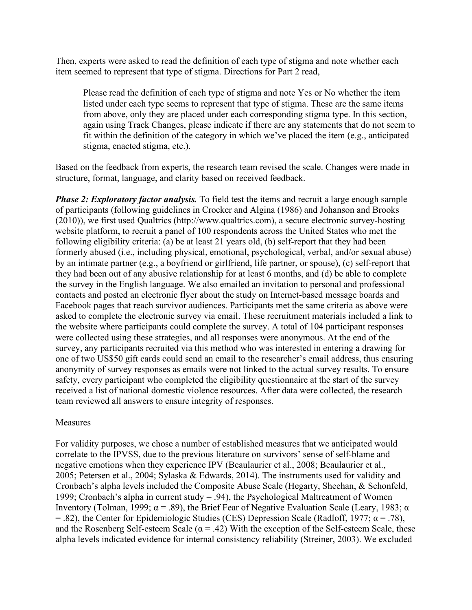Then, experts were asked to read the definition of each type of stigma and note whether each item seemed to represent that type of stigma. Directions for Part 2 read,

Please read the definition of each type of stigma and note Yes or No whether the item listed under each type seems to represent that type of stigma. These are the same items from above, only they are placed under each corresponding stigma type. In this section, again using Track Changes, please indicate if there are any statements that do not seem to fit within the definition of the category in which we've placed the item (e.g., anticipated stigma, enacted stigma, etc.).

Based on the feedback from experts, the research team revised the scale. Changes were made in structure, format, language, and clarity based on received feedback.

*Phase 2: Exploratory factor analysis.* To field test the items and recruit a large enough sample of participants (following guidelines in Crocker and Algina (1986) and Johanson and Brooks (2010)), we first used Qualtrics (http://www.qualtrics.com), a secure electronic survey-hosting website platform, to recruit a panel of 100 respondents across the United States who met the following eligibility criteria: (a) be at least 21 years old, (b) self-report that they had been formerly abused (i.e., including physical, emotional, psychological, verbal, and/or sexual abuse) by an intimate partner (e.g., a boyfriend or girlfriend, life partner, or spouse), (c) self-report that they had been out of any abusive relationship for at least 6 months, and (d) be able to complete the survey in the English language. We also emailed an invitation to personal and professional contacts and posted an electronic flyer about the study on Internet-based message boards and Facebook pages that reach survivor audiences. Participants met the same criteria as above were asked to complete the electronic survey via email. These recruitment materials included a link to the website where participants could complete the survey. A total of 104 participant responses were collected using these strategies, and all responses were anonymous. At the end of the survey, any participants recruited via this method who was interested in entering a drawing for one of two US\$50 gift cards could send an email to the researcher's email address, thus ensuring anonymity of survey responses as emails were not linked to the actual survey results. To ensure safety, every participant who completed the eligibility questionnaire at the start of the survey received a list of national domestic violence resources. After data were collected, the research team reviewed all answers to ensure integrity of responses.

### Measures

For validity purposes, we chose a number of established measures that we anticipated would correlate to the IPVSS, due to the previous literature on survivors' sense of self-blame and negative emotions when they experience IPV (Beaulaurier et al., 2008; Beaulaurier et al., 2005; Petersen et al., 2004; Sylaska & Edwards, 2014). The instruments used for validity and Cronbach's alpha levels included the Composite Abuse Scale (Hegarty, Sheehan, & Schonfeld, 1999; Cronbach's alpha in current study = .94), the Psychological Maltreatment of Women Inventory (Tolman, 1999;  $\alpha$  = .89), the Brief Fear of Negative Evaluation Scale (Leary, 1983;  $\alpha$  $=$  .82), the Center for Epidemiologic Studies (CES) Depression Scale (Radloff, 1977;  $\alpha$  = .78), and the Rosenberg Self-esteem Scale ( $\alpha$  = .42) With the exception of the Self-esteem Scale, these alpha levels indicated evidence for internal consistency reliability (Streiner, 2003). We excluded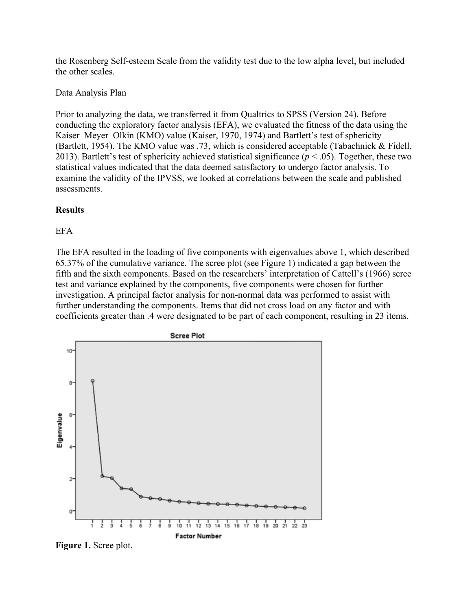the Rosenberg Self-esteem Scale from the validity test due to the low alpha level, but included the other scales.

### Data Analysis Plan

Prior to analyzing the data, we transferred it from Qualtrics to SPSS (Version 24). Before conducting the exploratory factor analysis (EFA), we evaluated the fitness of the data using the Kaiser–Meyer–Olkin (KMO) value (Kaiser, 1970, 1974) and Bartlett's test of sphericity (Bartlett, 1954). The KMO value was .73, which is considered acceptable (Tabachnick & Fidell, 2013). Bartlett's test of sphericity achieved statistical significance (*p* < .05). Together, these two statistical values indicated that the data deemed satisfactory to undergo factor analysis. To examine the validity of the IPVSS, we looked at correlations between the scale and published assessments.

### **Results**

# EFA

The EFA resulted in the loading of five components with eigenvalues above 1, which described 65.37% of the cumulative variance. The scree plot (see Figure 1) indicated a gap between the fifth and the sixth components. Based on the researchers' interpretation of Cattell's (1966) scree test and variance explained by the components, five components were chosen for further investigation. A principal factor analysis for non-normal data was performed to assist with further understanding the components. Items that did not cross load on any factor and with coefficients greater than .4 were designated to be part of each component, resulting in 23 items.



**Figure 1.** Scree plot.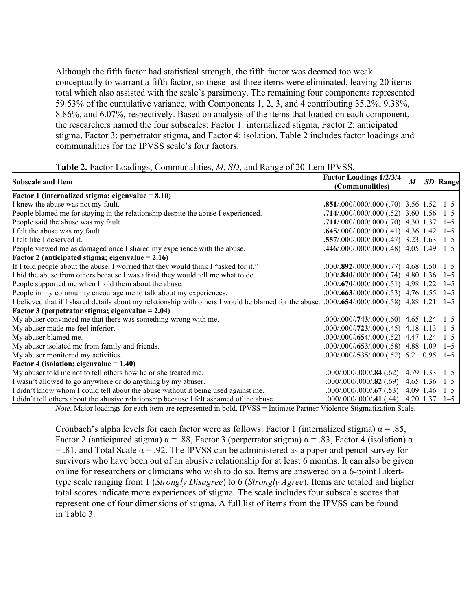Although the fifth factor had statistical strength, the fifth factor was deemed too weak conceptually to warrant a fifth factor, so these last three items were eliminated, leaving 20 items total which also assisted with the scale's parsimony. The remaining four components represented 59.53% of the cumulative variance, with Components 1, 2, 3, and 4 contributing 35.2%, 9.38%, 8.86%, and 6.07%, respectively. Based on analysis of the items that loaded on each component, the researchers named the four subscales: Factor 1: internalized stigma, Factor 2: anticipated stigma, Factor 3: perpetrator stigma, and Factor 4: isolation. Table 2 includes factor loadings and communalities for the IPVSS scale's four factors.

| <b>Table 2.</b> Factor Loadings, Communalities, <i>M, SD</i> , and Range of 20-Item IPVSS. |  |  |  |
|--------------------------------------------------------------------------------------------|--|--|--|
|--------------------------------------------------------------------------------------------|--|--|--|

| <b>Subscale and Item</b>                                                                                                                                                  | Factor Loadings 1/2/3/4<br>(Communalities)                  | $\boldsymbol{M}$ |  | SD Range        |  |
|---------------------------------------------------------------------------------------------------------------------------------------------------------------------------|-------------------------------------------------------------|------------------|--|-----------------|--|
| Factor 1 (internalized stigma; eigenvalue = $8.10$ )                                                                                                                      |                                                             |                  |  |                 |  |
| I knew the abuse was not my fault.                                                                                                                                        | <b>.851</b> /.000/.000/.000 (.70) 3.56 1.52 1-5             |                  |  |                 |  |
| People blamed me for staying in the relationship despite the abuse I experienced.                                                                                         | .714/.000/.000/.000 (.52) 3.60 1.56 1-5                     |                  |  |                 |  |
| People said the abuse was my fault.                                                                                                                                       | $.711/.000/.000/.000(.70)$ 4.30 1.37 1-5                    |                  |  |                 |  |
| I felt the abuse was my fault.                                                                                                                                            | <b>.645</b> /.000/.000/.000 (.41) 4.36 1.42 1-5             |                  |  |                 |  |
| I felt like I deserved it.                                                                                                                                                | $.557/.000/.000/.000(.47)$ 3.23 1.63 1-5                    |                  |  |                 |  |
| People viewed me as damaged once I shared my experience with the abuse.                                                                                                   | $.446/.000/.000/.000(.48)$ 4.05 1.49 1-5                    |                  |  |                 |  |
| Factor 2 (anticipated stigma; eigenvalue = $2.16$ )                                                                                                                       |                                                             |                  |  |                 |  |
| If I told people about the abuse, I worried that they would think I "asked for it."                                                                                       | $.000 \times 892 \times 000 \times 000$ (.77) 4.68 1.50 1-5 |                  |  |                 |  |
| I hid the abuse from others because I was afraid they would tell me what to do.                                                                                           | $.000$ , $.840$ , $.000$ , $.000$ (.74) 4.80 1.36 1-5       |                  |  |                 |  |
| People supported me when I told them about the abuse.                                                                                                                     | $.000$ , 670/.000/.000 (.51) 4.98 1.22 1-5                  |                  |  |                 |  |
| People in my community encourage me to talk about my experiences.                                                                                                         | $.000/.663/.000/.000(.53)$ 4.76 1.55 1-5                    |                  |  |                 |  |
| 1-5. 1.21 1-5. 4.88 1.21 1-5 Pelieved that if I shared details about my relationship with others I would be blamed for the abuse. .000/.654/.000/.000 (.58) 4.88 1.21 1-5 |                                                             |                  |  |                 |  |
| Factor 3 (perpetrator stigma; eigenvalue = $2.04$ )                                                                                                                       |                                                             |                  |  |                 |  |
| My abuser convinced me that there was something wrong with me.                                                                                                            | $.000/.000/.743/.000(.60)$ 4.65 1.24 1-5                    |                  |  |                 |  |
| My abuser made me feel inferior.                                                                                                                                          | $.000/.000/.723/.000(.45)$ 4.18 1.13 1-5                    |                  |  |                 |  |
| My abuser blamed me.                                                                                                                                                      | $.000/.000/.654/.000(.52)$ 4.47 1.24 1-5                    |                  |  |                 |  |
| My abuser isolated me from family and friends.                                                                                                                            | $.000/.000/.653/.000(.58)$ 4.88 1.09 1-5                    |                  |  |                 |  |
| My abuser monitored my activities.                                                                                                                                        | $.000/.000/.535/.000(.52)$ 5.21 0.95 1-5                    |                  |  |                 |  |
| Factor 4 (isolation; eigenvalue $= 1.40$ )                                                                                                                                |                                                             |                  |  |                 |  |
| My abuser told me not to tell others how he or she treated me.                                                                                                            | $.000/.000/.000/.84(.62)$ 4.79 1.33 1-5                     |                  |  |                 |  |
| I wasn't allowed to go anywhere or do anything by my abuser.                                                                                                              | $.000/.000/.000/.82(.69)$ 4.65 1.36 1-5                     |                  |  |                 |  |
| I didn't know whom I could tell about the abuse without it being used against me.                                                                                         | .000/.000/.000/.67(.53)                                     |                  |  | $4.09$ 1.46 1-5 |  |
| I didn't tell others about the abusive relationship because I felt ashamed of the abuse.                                                                                  | $.000/.000/.000/.41(.44)$ 4.20 1.37 1-5                     |                  |  |                 |  |

*Note*. Major loadings for each item are represented in bold. IPVSS = Intimate Partner Violence Stigmatization Scale.

Cronbach's alpha levels for each factor were as follows: Factor 1 (internalized stigma)  $\alpha = .85$ , Factor 2 (anticipated stigma)  $\alpha$  = .88, Factor 3 (perpetrator stigma)  $\alpha$  = .83, Factor 4 (isolation)  $\alpha$  $= 0.81$ , and Total Scale  $\alpha = 0.92$ . The IPVSS can be administered as a paper and pencil survey for survivors who have been out of an abusive relationship for at least 6 months. It can also be given online for researchers or clinicians who wish to do so. Items are answered on a 6-point Likerttype scale ranging from 1 (*Strongly Disagree*) to 6 (*Strongly Agree*). Items are totaled and higher total scores indicate more experiences of stigma. The scale includes four subscale scores that represent one of four dimensions of stigma. A full list of items from the IPVSS can be found in Table 3.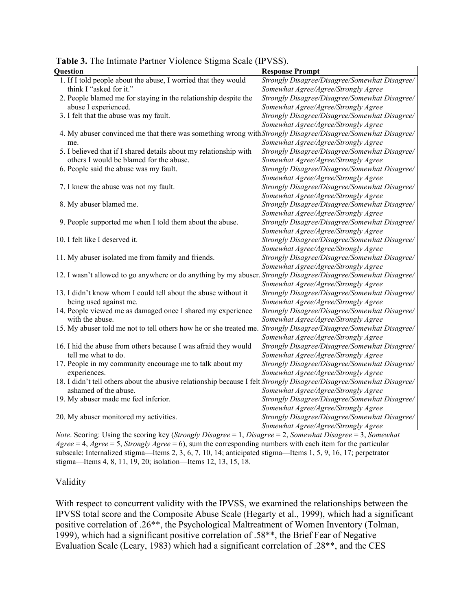| Question                                                                                                             | <b>Response Prompt</b>                        |
|----------------------------------------------------------------------------------------------------------------------|-----------------------------------------------|
| 1. If I told people about the abuse, I worried that they would                                                       | Strongly Disagree/Disagree/Somewhat Disagree/ |
| think I "asked for it."                                                                                              | Somewhat Agree/Agree/Strongly Agree           |
| 2. People blamed me for staying in the relationship despite the                                                      | Strongly Disagree/Disagree/Somewhat Disagree/ |
| abuse I experienced.                                                                                                 | Somewhat Agree/Agree/Strongly Agree           |
| 3. I felt that the abuse was my fault.                                                                               | Strongly Disagree/Disagree/Somewhat Disagree/ |
|                                                                                                                      | Somewhat Agree/Agree/Strongly Agree           |
| 4. My abuser convinced me that there was something wrong with Strongly Disagree/Disagree/Somewhat Disagree/          |                                               |
| me.                                                                                                                  | Somewhat Agree/Agree/Strongly Agree           |
| 5. I believed that if I shared details about my relationship with                                                    | Strongly Disagree/Disagree/Somewhat Disagree/ |
| others I would be blamed for the abuse.                                                                              | Somewhat Agree/Agree/Strongly Agree           |
| 6. People said the abuse was my fault.                                                                               | Strongly Disagree/Disagree/Somewhat Disagree/ |
|                                                                                                                      | Somewhat Agree/Agree/Strongly Agree           |
| 7. I knew the abuse was not my fault.                                                                                | Strongly Disagree/Disagree/Somewhat Disagree/ |
|                                                                                                                      | Somewhat Agree/Agree/Strongly Agree           |
| 8. My abuser blamed me.                                                                                              | Strongly Disagree/Disagree/Somewhat Disagree/ |
|                                                                                                                      | Somewhat Agree/Agree/Strongly Agree           |
| 9. People supported me when I told them about the abuse.                                                             | Strongly Disagree/Disagree/Somewhat Disagree/ |
|                                                                                                                      | Somewhat Agree/Agree/Strongly Agree           |
| 10. I felt like I deserved it.                                                                                       | Strongly Disagree/Disagree/Somewhat Disagree/ |
|                                                                                                                      | Somewhat Agree/Agree/Strongly Agree           |
| 11. My abuser isolated me from family and friends.                                                                   | Strongly Disagree/Disagree/Somewhat Disagree/ |
|                                                                                                                      | Somewhat Agree/Agree/Strongly Agree           |
| 12. I wasn't allowed to go anywhere or do anything by my abuser. Strongly Disagree/Disagree/Somewhat Disagree/       |                                               |
|                                                                                                                      | Somewhat Agree/Agree/Strongly Agree           |
| 13. I didn't know whom I could tell about the abuse without it                                                       | Strongly Disagree/Disagree/Somewhat Disagree/ |
| being used against me.                                                                                               | Somewhat Agree/Agree/Strongly Agree           |
| 14. People viewed me as damaged once I shared my experience                                                          | Strongly Disagree/Disagree/Somewhat Disagree/ |
| with the abuse.                                                                                                      | Somewhat Agree/Agree/Strongly Agree           |
| 15. My abuser told me not to tell others how he or she treated me. Strongly Disagree/Disagree/Somewhat Disagree/     |                                               |
|                                                                                                                      | Somewhat Agree/Agree/Strongly Agree           |
| 16. I hid the abuse from others because I was afraid they would                                                      | Strongly Disagree/Disagree/Somewhat Disagree/ |
| tell me what to do.                                                                                                  | Somewhat Agree/Agree/Strongly Agree           |
| 17. People in my community encourage me to talk about my                                                             | Strongly Disagree/Disagree/Somewhat Disagree/ |
| experiences.                                                                                                         | Somewhat Agree/Agree/Strongly Agree           |
| 18. I didn't tell others about the abusive relationship because I felt Strongly Disagree/Disagree/Somewhat Disagree/ |                                               |
| ashamed of the abuse.                                                                                                | Somewhat Agree/Agree/Strongly Agree           |
| 19. My abuser made me feel inferior.                                                                                 | Strongly Disagree/Disagree/Somewhat Disagree/ |
|                                                                                                                      | Somewhat Agree/Agree/Strongly Agree           |
| 20. My abuser monitored my activities.                                                                               | Strongly Disagree/Disagree/Somewhat Disagree/ |
|                                                                                                                      | Somewhat Agree/Agree/Strongly Agree           |

**Table 3.** The Intimate Partner Violence Stigma Scale (IPVSS).

*Note*. Scoring: Using the scoring key (*Strongly Disagree* = 1, *Disagree* = 2, *Somewhat Disagree* = 3, *Somewhat Agree* = 4, *Agree* = 5, *Strongly Agree* = 6), sum the corresponding numbers with each item for the particular subscale: Internalized stigma—Items 2, 3, 6, 7, 10, 14; anticipated stigma—Items 1, 5, 9, 16, 17; perpetrator stigma—Items 4, 8, 11, 19, 20; isolation—Items 12, 13, 15, 18.

### Validity

With respect to concurrent validity with the IPVSS, we examined the relationships between the IPVSS total score and the Composite Abuse Scale (Hegarty et al., 1999), which had a significant positive correlation of .26\*\*, the Psychological Maltreatment of Women Inventory (Tolman, 1999), which had a significant positive correlation of .58\*\*, the Brief Fear of Negative Evaluation Scale (Leary, 1983) which had a significant correlation of .28\*\*, and the CES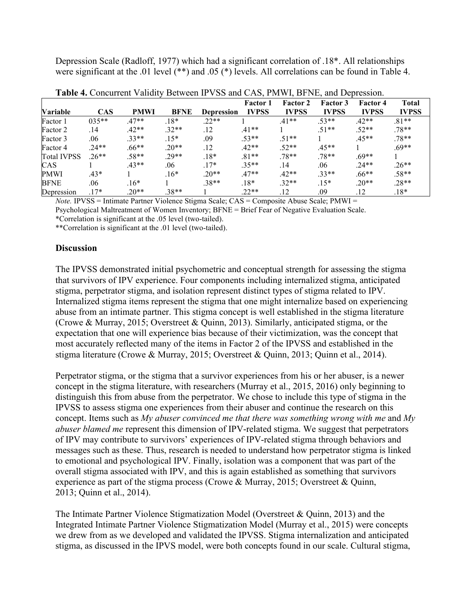Depression Scale (Radloff, 1977) which had a significant correlation of .18\*. All relationships were significant at the .01 level (\*\*) and .05 (\*) levels. All correlations can be found in Table 4.

|                    |            |             |             |                   | <b>Factor 1</b> | <b>Factor 2</b> | <b>Factor 3</b> | <b>Factor 4</b> | <b>Total</b> |
|--------------------|------------|-------------|-------------|-------------------|-----------------|-----------------|-----------------|-----------------|--------------|
| <b>Variable</b>    | <b>CAS</b> | <b>PMWI</b> | <b>BFNE</b> | <b>Depression</b> | <b>IVPSS</b>    | <b>IVPSS</b>    | <b>IVPSS</b>    | <b>IVPSS</b>    | <b>IVPSS</b> |
| Factor 1           | 035**      | $.47**$     | $.18*$      | $22**$            |                 | $.41**$         | $.53**$         | $.42**$         | $.81**$      |
| Factor 2           | .14        | $.42**$     | $.32**$     | .12               | $.41**$         |                 | $.51**$         | $.52**$         | $.78**$      |
| Factor 3           | .06        | $.33**$     | $.15*$      | .09               | $.53**$         | $.51**$         |                 | $.45**$         | $.78**$      |
| Factor 4           | $.24**$    | $.66**$     | $.20**$     | .12               | $.42**$         | $.52**$         | $.45**$         |                 | $.69**$      |
| <b>Total IVPSS</b> | $.26**$    | $.58**$     | $.29**$     | $.18*$            | $.81**$         | $.78**$         | $.78**$         | $.69**$         |              |
| <b>CAS</b>         |            | $.43**$     | .06         | $.17*$            | $.35**$         | .14             | .06             | $.24**$         | $.26**$      |
| <b>PMWI</b>        | $.43*$     |             | $.16*$      | $.20**$           | $.47**$         | $.42**$         | $.33**$         | $.66**$         | $.58**$      |
| <b>BFNE</b>        | .06        | $.16*$      |             | $.38**$           | $.18*$          | $.32**$         | $.15*$          | $.20**$         | $.28**$      |
| Depression         | $.17*$     | $.20**$     | $.38**$     |                   | $.22**$         | .12             | .09             | .12             | $.18*$       |

**Table 4.** Concurrent Validity Between IPVSS and CAS, PMWI, BFNE, and Depression.

*Note.* IPVSS = Intimate Partner Violence Stigma Scale; CAS = Composite Abuse Scale; PMWI =

Psychological Maltreatment of Women Inventory; BFNE = Brief Fear of Negative Evaluation Scale.

\*Correlation is significant at the .05 level (two-tailed).

\*\*Correlation is significant at the .01 level (two-tailed).

#### **Discussion**

The IPVSS demonstrated initial psychometric and conceptual strength for assessing the stigma that survivors of IPV experience. Four components including internalized stigma, anticipated stigma, perpetrator stigma, and isolation represent distinct types of stigma related to IPV. Internalized stigma items represent the stigma that one might internalize based on experiencing abuse from an intimate partner. This stigma concept is well established in the stigma literature (Crowe & Murray, 2015; Overstreet & Quinn, 2013). Similarly, anticipated stigma, or the expectation that one will experience bias because of their victimization, was the concept that most accurately reflected many of the items in Factor 2 of the IPVSS and established in the stigma literature (Crowe & Murray, 2015; Overstreet & Quinn, 2013; Quinn et al., 2014).

Perpetrator stigma, or the stigma that a survivor experiences from his or her abuser, is a newer concept in the stigma literature, with researchers (Murray et al., 2015, 2016) only beginning to distinguish this from abuse from the perpetrator. We chose to include this type of stigma in the IPVSS to assess stigma one experiences from their abuser and continue the research on this concept. Items such as *My abuser convinced me that there was something wrong with me* and *My abuser blamed me* represent this dimension of IPV-related stigma. We suggest that perpetrators of IPV may contribute to survivors' experiences of IPV-related stigma through behaviors and messages such as these. Thus, research is needed to understand how perpetrator stigma is linked to emotional and psychological IPV. Finally, isolation was a component that was part of the overall stigma associated with IPV, and this is again established as something that survivors experience as part of the stigma process (Crowe & Murray, 2015; Overstreet & Quinn, 2013; Quinn et al., 2014).

The Intimate Partner Violence Stigmatization Model (Overstreet & Quinn, 2013) and the Integrated Intimate Partner Violence Stigmatization Model (Murray et al., 2015) were concepts we drew from as we developed and validated the IPVSS. Stigma internalization and anticipated stigma, as discussed in the IPVS model, were both concepts found in our scale. Cultural stigma,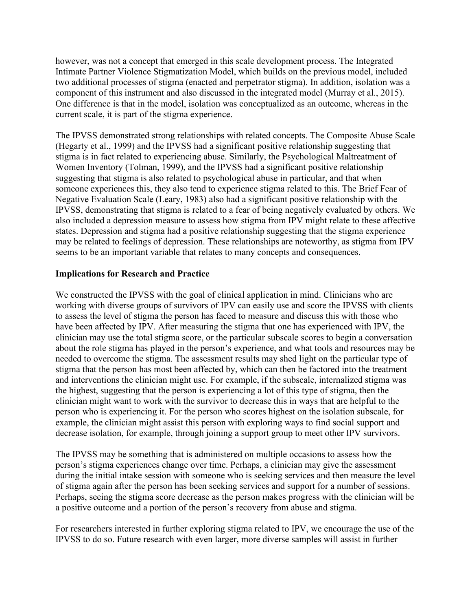however, was not a concept that emerged in this scale development process. The Integrated Intimate Partner Violence Stigmatization Model, which builds on the previous model, included two additional processes of stigma (enacted and perpetrator stigma). In addition, isolation was a component of this instrument and also discussed in the integrated model (Murray et al., 2015). One difference is that in the model, isolation was conceptualized as an outcome, whereas in the current scale, it is part of the stigma experience.

The IPVSS demonstrated strong relationships with related concepts. The Composite Abuse Scale (Hegarty et al., 1999) and the IPVSS had a significant positive relationship suggesting that stigma is in fact related to experiencing abuse. Similarly, the Psychological Maltreatment of Women Inventory (Tolman, 1999), and the IPVSS had a significant positive relationship suggesting that stigma is also related to psychological abuse in particular, and that when someone experiences this, they also tend to experience stigma related to this. The Brief Fear of Negative Evaluation Scale (Leary, 1983) also had a significant positive relationship with the IPVSS, demonstrating that stigma is related to a fear of being negatively evaluated by others. We also included a depression measure to assess how stigma from IPV might relate to these affective states. Depression and stigma had a positive relationship suggesting that the stigma experience may be related to feelings of depression. These relationships are noteworthy, as stigma from IPV seems to be an important variable that relates to many concepts and consequences.

### **Implications for Research and Practice**

We constructed the IPVSS with the goal of clinical application in mind. Clinicians who are working with diverse groups of survivors of IPV can easily use and score the IPVSS with clients to assess the level of stigma the person has faced to measure and discuss this with those who have been affected by IPV. After measuring the stigma that one has experienced with IPV, the clinician may use the total stigma score, or the particular subscale scores to begin a conversation about the role stigma has played in the person's experience, and what tools and resources may be needed to overcome the stigma. The assessment results may shed light on the particular type of stigma that the person has most been affected by, which can then be factored into the treatment and interventions the clinician might use. For example, if the subscale, internalized stigma was the highest, suggesting that the person is experiencing a lot of this type of stigma, then the clinician might want to work with the survivor to decrease this in ways that are helpful to the person who is experiencing it. For the person who scores highest on the isolation subscale, for example, the clinician might assist this person with exploring ways to find social support and decrease isolation, for example, through joining a support group to meet other IPV survivors.

The IPVSS may be something that is administered on multiple occasions to assess how the person's stigma experiences change over time. Perhaps, a clinician may give the assessment during the initial intake session with someone who is seeking services and then measure the level of stigma again after the person has been seeking services and support for a number of sessions. Perhaps, seeing the stigma score decrease as the person makes progress with the clinician will be a positive outcome and a portion of the person's recovery from abuse and stigma.

For researchers interested in further exploring stigma related to IPV, we encourage the use of the IPVSS to do so. Future research with even larger, more diverse samples will assist in further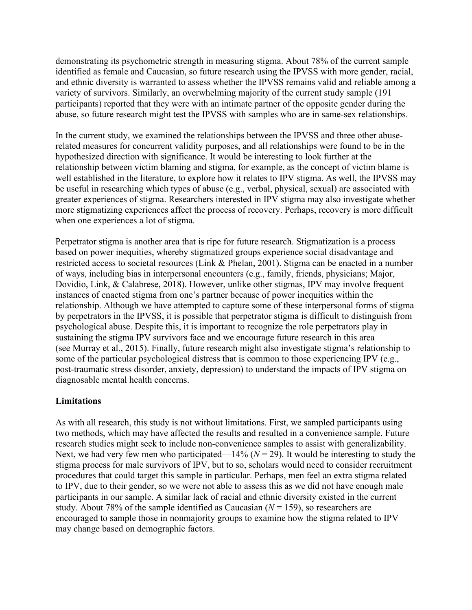demonstrating its psychometric strength in measuring stigma. About 78% of the current sample identified as female and Caucasian, so future research using the IPVSS with more gender, racial, and ethnic diversity is warranted to assess whether the IPVSS remains valid and reliable among a variety of survivors. Similarly, an overwhelming majority of the current study sample (191 participants) reported that they were with an intimate partner of the opposite gender during the abuse, so future research might test the IPVSS with samples who are in same-sex relationships.

In the current study, we examined the relationships between the IPVSS and three other abuserelated measures for concurrent validity purposes, and all relationships were found to be in the hypothesized direction with significance. It would be interesting to look further at the relationship between victim blaming and stigma, for example, as the concept of victim blame is well established in the literature, to explore how it relates to IPV stigma. As well, the IPVSS may be useful in researching which types of abuse (e.g., verbal, physical, sexual) are associated with greater experiences of stigma. Researchers interested in IPV stigma may also investigate whether more stigmatizing experiences affect the process of recovery. Perhaps, recovery is more difficult when one experiences a lot of stigma.

Perpetrator stigma is another area that is ripe for future research. Stigmatization is a process based on power inequities, whereby stigmatized groups experience social disadvantage and restricted access to societal resources (Link & Phelan, 2001). Stigma can be enacted in a number of ways, including bias in interpersonal encounters (e.g., family, friends, physicians; Major, Dovidio, Link, & Calabrese, 2018). However, unlike other stigmas, IPV may involve frequent instances of enacted stigma from one's partner because of power inequities within the relationship. Although we have attempted to capture some of these interpersonal forms of stigma by perpetrators in the IPVSS, it is possible that perpetrator stigma is difficult to distinguish from psychological abuse. Despite this, it is important to recognize the role perpetrators play in sustaining the stigma IPV survivors face and we encourage future research in this area (see Murray et al., 2015). Finally, future research might also investigate stigma's relationship to some of the particular psychological distress that is common to those experiencing IPV (e.g., post-traumatic stress disorder, anxiety, depression) to understand the impacts of IPV stigma on diagnosable mental health concerns.

# **Limitations**

As with all research, this study is not without limitations. First, we sampled participants using two methods, which may have affected the results and resulted in a convenience sample. Future research studies might seek to include non-convenience samples to assist with generalizability. Next, we had very few men who participated—14% ( $N = 29$ ). It would be interesting to study the stigma process for male survivors of IPV, but to so, scholars would need to consider recruitment procedures that could target this sample in particular. Perhaps, men feel an extra stigma related to IPV, due to their gender, so we were not able to assess this as we did not have enough male participants in our sample. A similar lack of racial and ethnic diversity existed in the current study. About 78% of the sample identified as Caucasian (*N* = 159), so researchers are encouraged to sample those in nonmajority groups to examine how the stigma related to IPV may change based on demographic factors.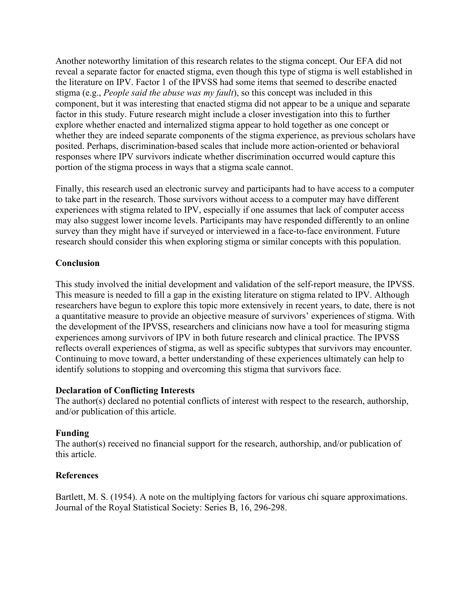Another noteworthy limitation of this research relates to the stigma concept. Our EFA did not reveal a separate factor for enacted stigma, even though this type of stigma is well established in the literature on IPV. Factor 1 of the IPVSS had some items that seemed to describe enacted stigma (e.g., *People said the abuse was my fault*), so this concept was included in this component, but it was interesting that enacted stigma did not appear to be a unique and separate factor in this study. Future research might include a closer investigation into this to further explore whether enacted and internalized stigma appear to hold together as one concept or whether they are indeed separate components of the stigma experience, as previous scholars have posited. Perhaps, discrimination-based scales that include more action-oriented or behavioral responses where IPV survivors indicate whether discrimination occurred would capture this portion of the stigma process in ways that a stigma scale cannot.

Finally, this research used an electronic survey and participants had to have access to a computer to take part in the research. Those survivors without access to a computer may have different experiences with stigma related to IPV, especially if one assumes that lack of computer access may also suggest lower income levels. Participants may have responded differently to an online survey than they might have if surveyed or interviewed in a face-to-face environment. Future research should consider this when exploring stigma or similar concepts with this population.

### **Conclusion**

This study involved the initial development and validation of the self-report measure, the IPVSS. This measure is needed to fill a gap in the existing literature on stigma related to IPV. Although researchers have begun to explore this topic more extensively in recent years, to date, there is not a quantitative measure to provide an objective measure of survivors' experiences of stigma. With the development of the IPVSS, researchers and clinicians now have a tool for measuring stigma experiences among survivors of IPV in both future research and clinical practice. The IPVSS reflects overall experiences of stigma, as well as specific subtypes that survivors may encounter. Continuing to move toward, a better understanding of these experiences ultimately can help to identify solutions to stopping and overcoming this stigma that survivors face.

### **Declaration of Conflicting Interests**

The author(s) declared no potential conflicts of interest with respect to the research, authorship, and/or publication of this article.

# **Funding**

The author(s) received no financial support for the research, authorship, and/or publication of this article.

# **References**

Bartlett, M. S. (1954). A note on the multiplying factors for various chi square approximations. Journal of the Royal Statistical Society: Series B, 16, 296-298.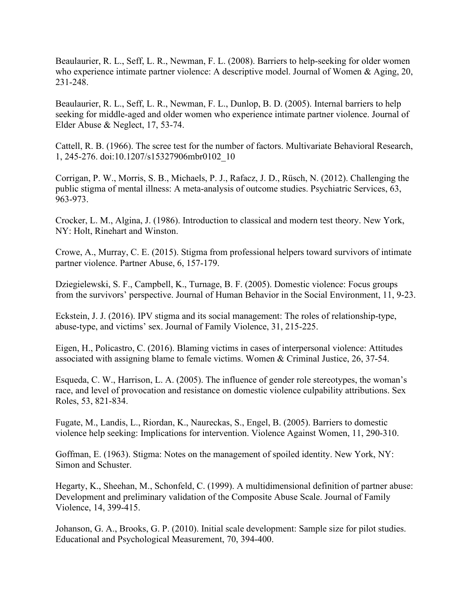Beaulaurier, R. L., Seff, L. R., Newman, F. L. (2008). Barriers to help-seeking for older women who experience intimate partner violence: A descriptive model. Journal of Women & Aging, 20, 231-248.

Beaulaurier, R. L., Seff, L. R., Newman, F. L., Dunlop, B. D. (2005). Internal barriers to help seeking for middle-aged and older women who experience intimate partner violence. Journal of Elder Abuse & Neglect, 17, 53-74.

Cattell, R. B. (1966). The scree test for the number of factors. Multivariate Behavioral Research, 1, 245-276. doi:10.1207/s15327906mbr0102\_10

Corrigan, P. W., Morris, S. B., Michaels, P. J., Rafacz, J. D., Rüsch, N. (2012). Challenging the public stigma of mental illness: A meta-analysis of outcome studies. Psychiatric Services, 63, 963-973.

Crocker, L. M., Algina, J. (1986). Introduction to classical and modern test theory. New York, NY: Holt, Rinehart and Winston.

Crowe, A., Murray, C. E. (2015). Stigma from professional helpers toward survivors of intimate partner violence. Partner Abuse, 6, 157-179.

Dziegielewski, S. F., Campbell, K., Turnage, B. F. (2005). Domestic violence: Focus groups from the survivors' perspective. Journal of Human Behavior in the Social Environment, 11, 9-23.

Eckstein, J. J. (2016). IPV stigma and its social management: The roles of relationship-type, abuse-type, and victims' sex. Journal of Family Violence, 31, 215-225.

Eigen, H., Policastro, C. (2016). Blaming victims in cases of interpersonal violence: Attitudes associated with assigning blame to female victims. Women & Criminal Justice, 26, 37-54.

Esqueda, C. W., Harrison, L. A. (2005). The influence of gender role stereotypes, the woman's race, and level of provocation and resistance on domestic violence culpability attributions. Sex Roles, 53, 821-834.

Fugate, M., Landis, L., Riordan, K., Naureckas, S., Engel, B. (2005). Barriers to domestic violence help seeking: Implications for intervention. Violence Against Women, 11, 290-310.

Goffman, E. (1963). Stigma: Notes on the management of spoiled identity. New York, NY: Simon and Schuster.

Hegarty, K., Sheehan, M., Schonfeld, C. (1999). A multidimensional definition of partner abuse: Development and preliminary validation of the Composite Abuse Scale. Journal of Family Violence, 14, 399-415.

Johanson, G. A., Brooks, G. P. (2010). Initial scale development: Sample size for pilot studies. Educational and Psychological Measurement, 70, 394-400.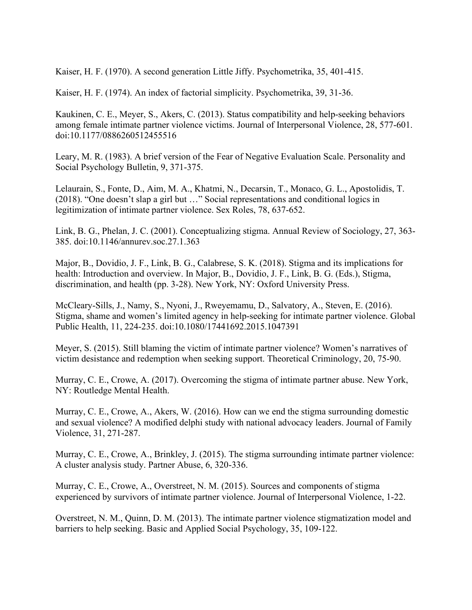Kaiser, H. F. (1970). A second generation Little Jiffy. Psychometrika, 35, 401-415.

Kaiser, H. F. (1974). An index of factorial simplicity. Psychometrika, 39, 31-36.

Kaukinen, C. E., Meyer, S., Akers, C. (2013). Status compatibility and help-seeking behaviors among female intimate partner violence victims. Journal of Interpersonal Violence, 28, 577-601. doi:10.1177/0886260512455516

Leary, M. R. (1983). A brief version of the Fear of Negative Evaluation Scale. Personality and Social Psychology Bulletin, 9, 371-375.

Lelaurain, S., Fonte, D., Aim, M. A., Khatmi, N., Decarsin, T., Monaco, G. L., Apostolidis, T. (2018). "One doesn't slap a girl but …" Social representations and conditional logics in legitimization of intimate partner violence. Sex Roles, 78, 637-652.

Link, B. G., Phelan, J. C. (2001). Conceptualizing stigma. Annual Review of Sociology, 27, 363- 385. doi:10.1146/annurev.soc.27.1.363

Major, B., Dovidio, J. F., Link, B. G., Calabrese, S. K. (2018). Stigma and its implications for health: Introduction and overview. In Major, B., Dovidio, J. F., Link, B. G. (Eds.), Stigma, discrimination, and health (pp. 3-28). New York, NY: Oxford University Press.

McCleary-Sills, J., Namy, S., Nyoni, J., Rweyemamu, D., Salvatory, A., Steven, E. (2016). Stigma, shame and women's limited agency in help-seeking for intimate partner violence. Global Public Health, 11, 224-235. doi:10.1080/17441692.2015.1047391

Meyer, S. (2015). Still blaming the victim of intimate partner violence? Women's narratives of victim desistance and redemption when seeking support. Theoretical Criminology, 20, 75-90.

Murray, C. E., Crowe, A. (2017). Overcoming the stigma of intimate partner abuse. New York, NY: Routledge Mental Health.

Murray, C. E., Crowe, A., Akers, W. (2016). How can we end the stigma surrounding domestic and sexual violence? A modified delphi study with national advocacy leaders. Journal of Family Violence, 31, 271-287.

Murray, C. E., Crowe, A., Brinkley, J. (2015). The stigma surrounding intimate partner violence: A cluster analysis study. Partner Abuse, 6, 320-336.

Murray, C. E., Crowe, A., Overstreet, N. M. (2015). Sources and components of stigma experienced by survivors of intimate partner violence. Journal of Interpersonal Violence, 1-22.

Overstreet, N. M., Quinn, D. M. (2013). The intimate partner violence stigmatization model and barriers to help seeking. Basic and Applied Social Psychology, 35, 109-122.